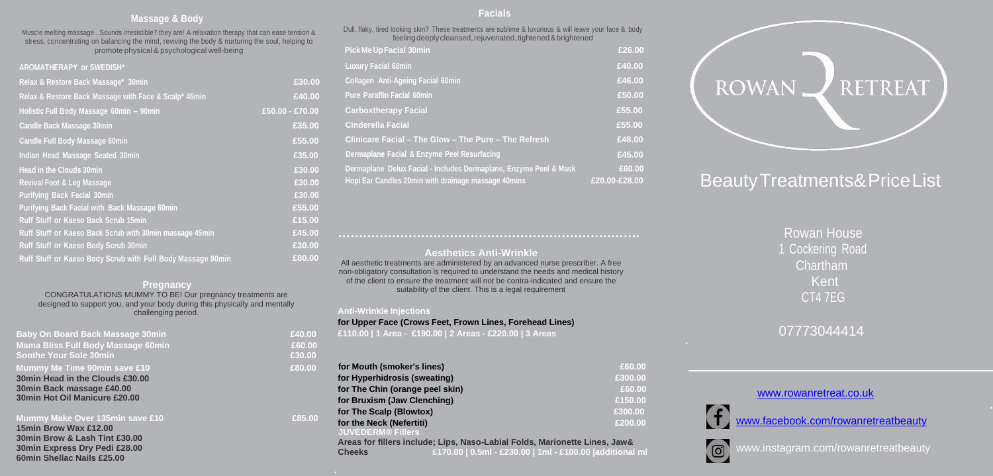### **Massage & Body**

Dull, flaky, tired looking skin? These treatments are sublime & luxurious & will leave your face & body feeling deeply cleansed, rejuvenated, tightened & brightened

Muscle melting massage...Sounds irresistible? they are! A relaxation therapy that can ease tension & stress, concentrating on balancing the mind, reviving the body & nurturing the soul, helping to promote physical & psychological well-being

### **Facials**

### BeautyTreatments&PriceList

#### **Pregnancy** CONGRATULATIONS MUMMY TO BE! Our pregnancy treatments are designed to support you, and your body during this physically and mentally challenging period.

**……………………………………………………………….**

### **Aesthetics Anti-Wrinkle**

All aesthetic treatments are administered by an advanced nurse prescriber. A free non-obligatory consultation is required to understand the needs and medical history of the client to ensure the treatment will not be contra-indicated and ensure the suitability of the client. This is a legal requirement

| <b>Baby On Board Back Massage 30min</b>   | £40.00 |
|-------------------------------------------|--------|
| <b>Mama Bliss Full Body Massage 60min</b> | £60.00 |
| <b>Soothe Your Sole 30min</b>             | £30.00 |
| <b>Mummy Me Time 90min save £10</b>       | £80.00 |
| 30 min Head in the Clouds £30,00          |        |
| 30min Back massage £40.00                 |        |
| 30min Hot Oil Manicure £20.00             |        |
| <b>Mummy Make Over 135min save £10</b>    | £85.00 |
| 15min Brow Wax £12.00                     |        |
| 30min Brow & Lash Tint £30.00             |        |
| 30min Express Dry Pedi £28.00             |        |
| 60min Shellac Nails £25.00                |        |

### **for Upper Face (Crows Feet, Frown Lines, Forehead Lines)**

**£110.00 | 1 Area - £190.00 | 2 Areas - £220.00 | 3 Areas**

Rowan House 1 Cockering Road Chartham Kent CT4 7EG

07773044414

| Mummy Me Time 90min save £10    | £80.00 | for Mouth (smoker's lines)                                                 | £60.00  |
|---------------------------------|--------|----------------------------------------------------------------------------|---------|
| 30min Head in the Clouds £30.00 |        | for Hyperhidrosis (sweating)                                               | £300.00 |
| 30min Back massage £40.00       |        | for The Chin (orange peel skin)                                            | £60.00  |
| 30min Hot Oil Manicure £20.00   |        | for Bruxism (Jaw Clenching)                                                | £150.00 |
|                                 |        | for The Scalp (Blowtox)                                                    | £300.00 |
| Mummy Make Over 135min save £10 | £85.00 | for the Neck (Nefertiti)                                                   | £200.00 |
| 15min Brow Wax £12.00           |        | JUVÉDERM® Fillers                                                          |         |
| 30min Brow & Lash Tint £30.00   |        | Arone for fillors include: Line, Naso-Labial Folde, Marianetto Lines, Jaw8 |         |

| promote physical & psychological well-being           |                 |        | <b>Pick Me Up Facial 30min</b>                                    | £26.00        |
|-------------------------------------------------------|-----------------|--------|-------------------------------------------------------------------|---------------|
| <b>AROMATHERAPY or SWEDISH*</b>                       |                 |        | <b>Luxury Facial 60min</b>                                        | £40.00        |
| Relax & Restore Back Massage* 30min                   |                 | £30.00 | <b>Collagen Anti-Ageing Facial 60min</b>                          | £46.00        |
| Relax & Restore Back Massage with Face & Scalp* 45min |                 | £40.00 | <b>Pure Paraffin Facial 60min</b>                                 | £50.00        |
| Holistic Full Body Massage 60min - 90min              | £50.00 - £70.00 |        | <b>Carboxtherapy Facial</b>                                       | £55.00        |
| <b>Candle Back Massage 30min</b>                      |                 | £35.00 | <b>Cinderella Facial</b>                                          | £55.00        |
| <b>Candle Full Body Massage 60min</b>                 |                 | £55.00 | Clinicare Facial - The Glow - The Pure - The Refresh              | £48.00        |
| Indian Head Massage Seated 30min                      |                 | £35.00 | Dermaplane Facial & Enzyme Peel Resurfacing                       | £45.00        |
| Head in the Clouds 30min                              |                 | £30.00 | Dermaplane Delux Facial - Includes Dermaplane, Enzyme Peel & Mask | £60.00        |
| <b>Revival Foot &amp; Leg Massage</b>                 |                 | £30.00 | Hopi Ear Candles 20min with drainage massage 40mins               | £20.00-£28.00 |

**Areas for fillers include; Lips, Naso-Labial Folds, Marionette Lines, Jaw& Cheeks £170.00 | 0.5ml** - **£230.00 | 1ml - £100.00 |additional ml**

# ROWAN RETREAT

[www.rowanretreat.co.uk](http://www.rowanretreat.co.uk/)



www.f[acebook.com/rowanretreatbeauty](http://www.facebook.com/rowanretreatbeauty)



[www.instagram.com/rowanretreatbeauty](http://www.instagram.com/rowanretreatbeauty)

### **Anti-Wrinkle Injections Hopi Ear Candles with Face & Scalp Massage 45mins £28.00**

| AROMATHERAPY or SWEDISH*                                    |                 |
|-------------------------------------------------------------|-----------------|
| Relax & Restore Back Massage* 30min                         | £30.00          |
| Relax & Restore Back Massage with Face & Scalp* 45min       | £40.00          |
| Holistic Full Body Massage 60min - 90min                    | £50.00 - £70.00 |
| <b>Candle Back Massage 30min</b>                            | £35.00          |
| <b>Candle Full Body Massage 60min</b>                       | £55.00          |
| Indian Head Massage Seated 30min                            | £35.00          |
| <b>Head in the Clouds 30min</b>                             | £30.00          |
| <b>Revival Foot &amp; Leg Massage</b>                       | £30.00          |
| <b>Purifying Back Facial 30min</b>                          | £30.00          |
| <b>Purifying Back Facial with Back Massage 60min</b>        | £55.00          |
| Ruff Stuff or Kaeso Back Scrub 15min                        | £15.00          |
| Ruff Stuff or Kaeso Back Scrub with 30min massage 45min     | £45.00          |
| Ruff Stuff or Kaeso Body Scrub 30min                        | £30.00          |
| Ruff Stuff or Kaeso Body Scrub with Full Body Massage 90min | £80.00          |